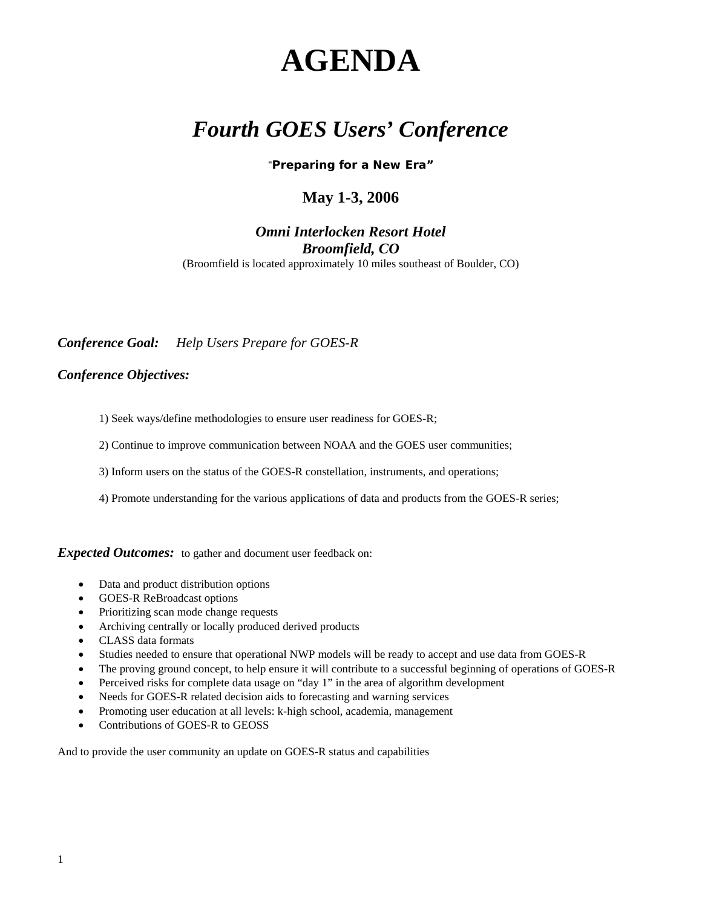# **AGENDA**

# *Fourth GOES Users' Conference*

"**Preparing for a New Era"**

#### **May 1-3, 2006**

#### *Omni Interlocken Resort Hotel Broomfield, CO*

(Broomfield is located approximately 10 miles southeast of Boulder, CO)

*Conference Goal: Help Users Prepare for GOES-R*

#### *Conference Objectives:*

1) Seek ways/define methodologies to ensure user readiness for GOES-R;

2) Continue to improve communication between NOAA and the GOES user communities;

3) Inform users on the status of the GOES-R constellation, instruments, and operations;

4) Promote understanding for the various applications of data and products from the GOES-R series;

**Expected Outcomes:** to gather and document user feedback on:

- Data and product distribution options
- GOES-R ReBroadcast options
- Prioritizing scan mode change requests
- Archiving centrally or locally produced derived products
- CLASS data formats
- Studies needed to ensure that operational NWP models will be ready to accept and use data from GOES-R
- The proving ground concept, to help ensure it will contribute to a successful beginning of operations of GOES-R
- Perceived risks for complete data usage on "day 1" in the area of algorithm development
- Needs for GOES-R related decision aids to forecasting and warning services
- Promoting user education at all levels: k-high school, academia, management
- Contributions of GOES-R to GEOSS

And to provide the user community an update on GOES-R status and capabilities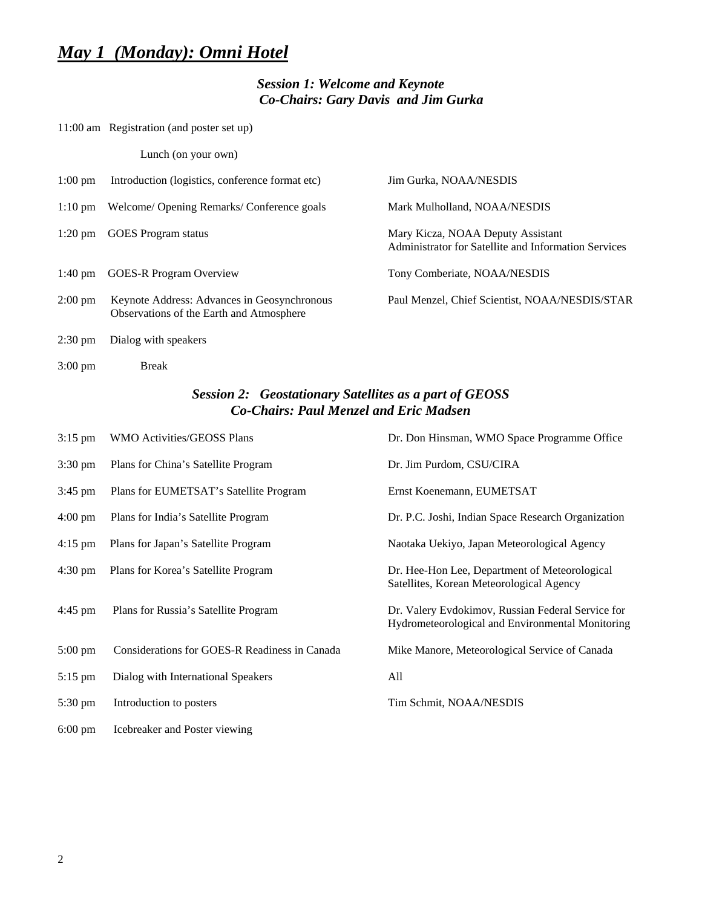## *May 1 (Monday): Omni Hotel*

#### *Session 1: Welcome and Keynote Co-Chairs: Gary Davis and Jim Gurka*

11:00 am Registration (and poster set up)

Lunch (on your own)

| $1:00 \text{ pm}$ | Introduction (logistics, conference format etc)                                         | Jim Gurka, NOAA/NESDIS                                                                    |
|-------------------|-----------------------------------------------------------------------------------------|-------------------------------------------------------------------------------------------|
| $1:10 \text{ pm}$ | Welcome/ Opening Remarks/ Conference goals                                              | Mark Mulholland, NOAA/NESDIS                                                              |
| $1:20 \text{ pm}$ | <b>GOES</b> Program status                                                              | Mary Kicza, NOAA Deputy Assistant<br>Administrator for Satellite and Information Services |
| $1:40 \text{ pm}$ | <b>GOES-R Program Overview</b>                                                          | Tony Comberiate, NOAA/NESDIS                                                              |
| $2:00 \text{ pm}$ | Keynote Address: Advances in Geosynchronous<br>Observations of the Earth and Atmosphere | Paul Menzel, Chief Scientist, NOAA/NESDIS/STAR                                            |
| $2:30 \text{ pm}$ | Dialog with speakers                                                                    |                                                                                           |

3:00 pm Break

#### *Session 2: Geostationary Satellites as a part of GEOSS Co-Chairs: Paul Menzel and Eric Madsen*

| $3:15$ pm         | WMO Activities/GEOSS Plans                    | Dr. Don Hinsman, WMO Space Programme Office                                                           |
|-------------------|-----------------------------------------------|-------------------------------------------------------------------------------------------------------|
| $3:30 \text{ pm}$ | Plans for China's Satellite Program           | Dr. Jim Purdom, CSU/CIRA                                                                              |
| $3:45$ pm         | Plans for EUMETSAT's Satellite Program        | Ernst Koenemann, EUMETSAT                                                                             |
| $4:00 \text{ pm}$ | Plans for India's Satellite Program           | Dr. P.C. Joshi, Indian Space Research Organization                                                    |
| $4:15$ pm         | Plans for Japan's Satellite Program           | Naotaka Uekiyo, Japan Meteorological Agency                                                           |
| $4:30 \text{ pm}$ | Plans for Korea's Satellite Program           | Dr. Hee-Hon Lee, Department of Meteorological<br>Satellites, Korean Meteorological Agency             |
| $4:45$ pm         | Plans for Russia's Satellite Program          | Dr. Valery Evdokimov, Russian Federal Service for<br>Hydrometeorological and Environmental Monitoring |
| $5:00 \text{ pm}$ | Considerations for GOES-R Readiness in Canada | Mike Manore, Meteorological Service of Canada                                                         |
| 5:15 pm           | Dialog with International Speakers            | All                                                                                                   |
| $5:30 \text{ pm}$ | Introduction to posters                       | Tim Schmit, NOAA/NESDIS                                                                               |
| $6:00 \text{ pm}$ | Icebreaker and Poster viewing                 |                                                                                                       |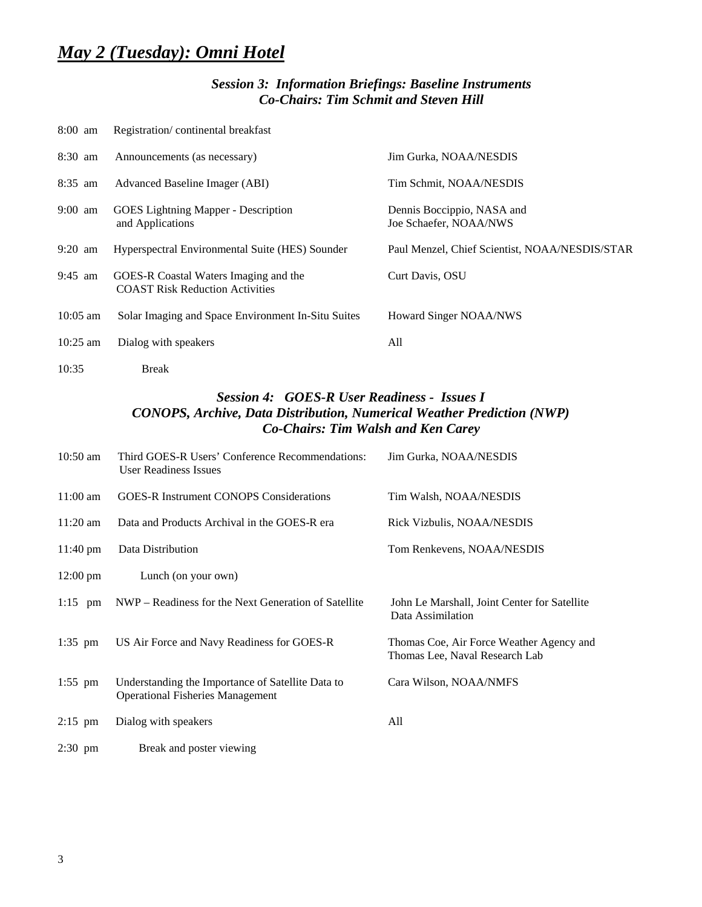# *May 2 (Tuesday): Omni Hotel*

#### *Session 3: Information Briefings: Baseline Instruments Co-Chairs: Tim Schmit and Steven Hill*

| $8:00$ am         | Registration/continental breakfast                                              |                                                      |
|-------------------|---------------------------------------------------------------------------------|------------------------------------------------------|
| $8:30$ am         | Announcements (as necessary)                                                    | Jim Gurka, NOAA/NESDIS                               |
| $8:35$ am         | Advanced Baseline Imager (ABI)                                                  | Tim Schmit, NOAA/NESDIS                              |
| $9:00 \text{ am}$ | <b>GOES</b> Lightning Mapper - Description<br>and Applications                  | Dennis Boccippio, NASA and<br>Joe Schaefer, NOAA/NWS |
| $9:20$ am         | Hyperspectral Environmental Suite (HES) Sounder                                 | Paul Menzel, Chief Scientist, NOAA/NESDIS/STAR       |
| $9:45$ am         | GOES-R Coastal Waters Imaging and the<br><b>COAST Risk Reduction Activities</b> | Curt Davis, OSU                                      |
| $10:05$ am        | Solar Imaging and Space Environment In-Situ Suites                              | Howard Singer NOAA/NWS                               |
| $10:25$ am        | Dialog with speakers                                                            | All                                                  |
| 10:35             | Break                                                                           |                                                      |

#### *Session 4: GOES-R User Readiness - Issues I CONOPS, Archive, Data Distribution, Numerical Weather Prediction (NWP) Co-Chairs: Tim Walsh and Ken Carey*

| $10:50$ am         | Third GOES-R Users' Conference Recommendations:<br><b>User Readiness Issues</b>              | Jim Gurka, NOAA/NESDIS                                                     |
|--------------------|----------------------------------------------------------------------------------------------|----------------------------------------------------------------------------|
| $11:00 \text{ am}$ | <b>GOES-R Instrument CONOPS Considerations</b>                                               | Tim Walsh, NOAA/NESDIS                                                     |
| $11:20$ am         | Data and Products Archival in the GOES-R era                                                 | Rick Vizbulis, NOAA/NESDIS                                                 |
| $11:40 \text{ pm}$ | Data Distribution                                                                            | Tom Renkevens, NOAA/NESDIS                                                 |
| $12:00 \text{ pm}$ | Lunch (on your own)                                                                          |                                                                            |
| $1:15$ pm          | NWP – Readiness for the Next Generation of Satellite                                         | John Le Marshall, Joint Center for Satellite<br>Data Assimilation          |
| $1:35$ pm          | US Air Force and Navy Readiness for GOES-R                                                   | Thomas Coe, Air Force Weather Agency and<br>Thomas Lee, Naval Research Lab |
| $1:55$ pm          | Understanding the Importance of Satellite Data to<br><b>Operational Fisheries Management</b> | Cara Wilson, NOAA/NMFS                                                     |
| $2:15$ pm          | Dialog with speakers                                                                         | All                                                                        |
| $2:30$ pm          | Break and poster viewing                                                                     |                                                                            |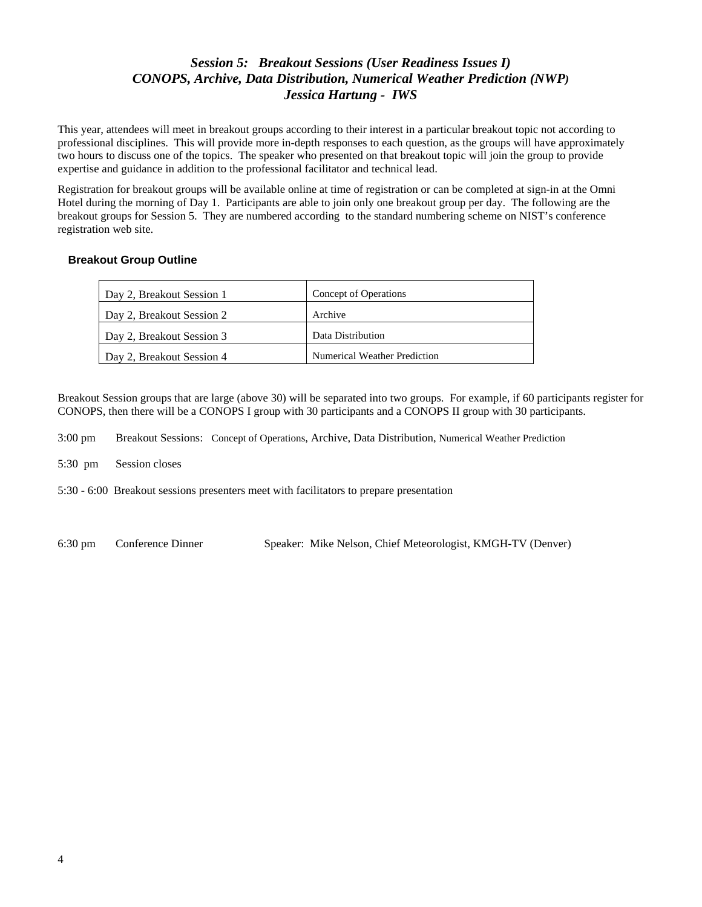#### *Session 5: Breakout Sessions (User Readiness Issues I) CONOPS, Archive, Data Distribution, Numerical Weather Prediction (NWP) Jessica Hartung - IWS*

This year, attendees will meet in breakout groups according to their interest in a particular breakout topic not according to professional disciplines. This will provide more in-depth responses to each question, as the groups will have approximately two hours to discuss one of the topics. The speaker who presented on that breakout topic will join the group to provide expertise and guidance in addition to the professional facilitator and technical lead.

Registration for breakout groups will be available online at time of registration or can be completed at sign-in at the Omni Hotel during the morning of Day 1. Participants are able to join only one breakout group per day. The following are the breakout groups for Session 5. They are numbered according to the standard numbering scheme on NIST's conference registration web site.

#### **Breakout Group Outline**

| Day 2, Breakout Session 1 | Concept of Operations        |
|---------------------------|------------------------------|
| Day 2, Breakout Session 2 | Archive                      |
| Day 2, Breakout Session 3 | Data Distribution            |
| Day 2, Breakout Session 4 | Numerical Weather Prediction |

Breakout Session groups that are large (above 30) will be separated into two groups. For example, if 60 participants register for CONOPS, then there will be a CONOPS I group with 30 participants and a CONOPS II group with 30 participants.

3:00 pm Breakout Sessions: Concept of Operations, Archive, Data Distribution, Numerical Weather Prediction

5:30 pm Session closes

5:30 - 6:00 Breakout sessions presenters meet with facilitators to prepare presentation

6:30 pm Conference Dinner Speaker: Mike Nelson, Chief Meteorologist, KMGH-TV (Denver)